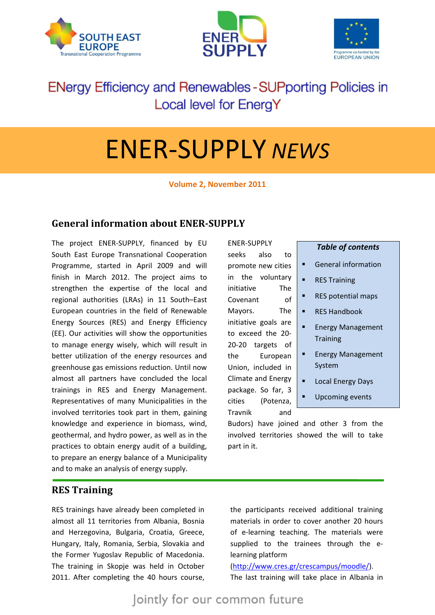





# **ENergy Efficiency and Renewables - SUPporting Policies in** Local level for EnergY

# ENER-SUPPLY *NEWS*

**Volume 2, November 2011**

# **General information about ENER-SUPPLY**

The project ENER-SUPPLY, financed by EU South East Europe Transnational Cooperation Programme, started in April 2009 and will finish in March 2012. The project aims to strengthen the expertise of the local and regional authorities (LRAs) in 11 South–East European countries in the field of Renewable Energy Sources (RES) and Energy Efficiency (EE). Our activities will show the opportunities to manage energy wisely, which will result in better utilization of the energy resources and greenhouse gas emissions reduction. Until now almost all partners have concluded the local trainings in RES and Energy Management. Representatives of many Municipalities in the involved territories took part in them, gaining knowledge and experience in biomass, wind, geothermal, and hydro power, as well as in the practices to obtain energy audit of a building, to prepare an energy balance of a Municipality and to make an analysis of energy supply.

ENER-SUPPLY seeks also to promote new cities in the voluntary initiative The Covenant of Mayors. The initiative goals are to exceed the 20- 20-20 targets of the European Union, included in Climate and Energy package. So far, 3 cities (Potenza, Travnik and

| <b>Table of contents</b> |                                             |
|--------------------------|---------------------------------------------|
|                          | <b>General information</b>                  |
|                          | <b>RES Training</b>                         |
|                          | <b>RES</b> potential maps                   |
|                          | <b>RES Handbook</b>                         |
|                          | <b>Energy Management</b><br><b>Training</b> |
|                          | <b>Energy Management</b><br>System          |
|                          | <b>Local Energy Days</b>                    |

Upcoming events

Budors) have joined and other 3 from the involved territories showed the will to take part in it.

### **RES Training**

RES trainings have already been completed in almost all 11 territories from Albania, Bosnia and Herzegovina, Bulgaria, Croatia, Greece, Hungary, Italy, Romania, Serbia, Slovakia and the Former Yugoslav Republic of Macedonia. The training in Skopje was held in October 2011. After completing the 40 hours course, the participants received additional training materials in order to cover another 20 hours of e-learning teaching. The materials were supplied to the trainees through the elearning platform

#### [\(http://www.cres.gr/crescampus/moodle/\)](http://www.cres.gr/crescampus/moodle/). The last training will take place in Albania in

Jointly for our common future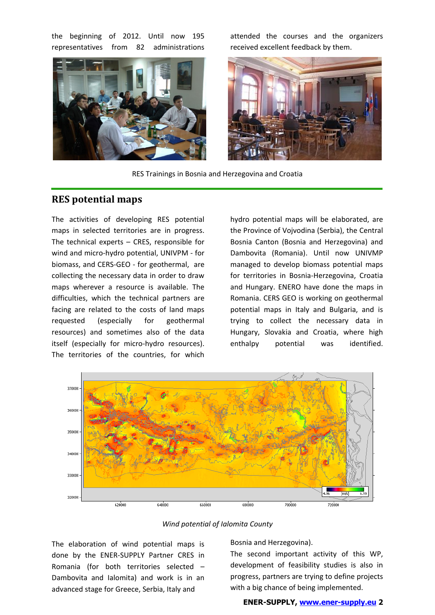the beginning of 2012. Until now 195 representatives from 82 administrations



attended the courses and the organizers received excellent feedback by them.



RES Trainings in Bosnia and Herzegovina and Croatia

#### **RES potential maps**

The activities of developing RES potential maps in selected territories are in progress. The technical experts – CRES, responsible for wind and micro-hydro potential, UNIVPM - for biomass, and CERS-GEO - for geothermal, are collecting the necessary data in order to draw maps wherever a resource is available. The difficulties, which the technical partners are facing are related to the costs of land maps requested (especially for geothermal resources) and sometimes also of the data itself (especially for micro-hydro resources). The territories of the countries, for which

hydro potential maps will be elaborated, are the Province of Vojvodina (Serbia), the Central Bosnia Canton (Bosnia and Herzegovina) and Dambovita (Romania). Until now UNIVMP managed to develop biomass potential maps for territories in Bosnia-Herzegovina, Croatia and Hungary. ENERO have done the maps in Romania. CERS GEO is working on geothermal potential maps in Italy and Bulgaria, and is trying to collect the necessary data in Hungary, Slovakia and Croatia, where high enthalpy potential was identified.



*Wind potential of Ialomita County*

The elaboration of wind potential maps is done by the ENER-SUPPLY Partner CRES in Romania (for both territories selected – Dambovita and Ialomita) and work is in an advanced stage for Greece, Serbia, Italy and

Bosnia and Herzegovina).

The second important activity of this WP, development of feasibility studies is also in progress, partners are trying to define projects with a big chance of being implemented.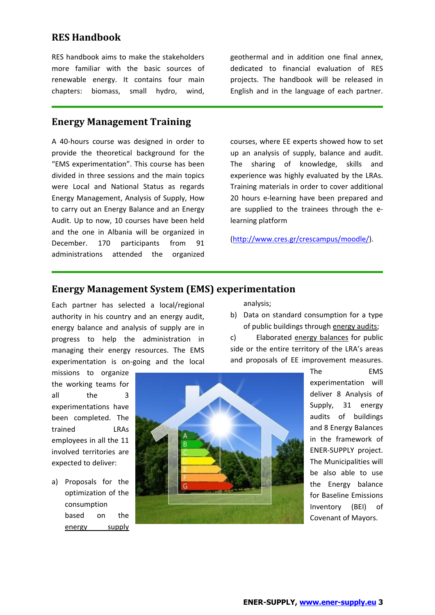# **RES Handbook**

RES handbook aims to make the stakeholders more familiar with the basic sources of renewable energy. It contains four main chapters: biomass, small hydro, wind,

#### **Energy Management Training**

A 40-hours course was designed in order to provide the theoretical background for the "EMS experimentation". This course has been divided in three sessions and the main topics were Local and National Status as regards Energy Management, Analysis of Supply, How to carry out an Energy Balance and an Energy Audit. Up to now, 10 courses have been held and the one in Albania will be organized in December. 170 participants from 91 administrations attended the organized

geothermal and in addition one final annex, dedicated to financial evaluation of RES projects. The handbook will be released in English and in the language of each partner.

courses, where EE experts showed how to set up an analysis of supply, balance and audit. The sharing of knowledge, skills and experience was highly evaluated by the LRAs. Training materials in order to cover additional 20 hours e-learning have been prepared and are supplied to the trainees through the elearning platform

[\(http://www.cres.gr/crescampus/moodle/\)](http://www.cres.gr/crescampus/moodle/).

#### **Energy Management System (EMS) experimentation**

Each partner has selected a local/regional authority in his country and an energy audit, energy balance and analysis of supply are in progress to help the administration in managing their energy resources. The EMS experimentation is on-going and the local

missions to organize the working teams for all the 3 experimentations have been completed. The trained LRAs employees in all the 11 involved territories are expected to deliver:

a) Proposals for the optimization of the consumption based on the energy supply



analysis;

b) Data on standard consumption for a type of public buildings through energy audits;

c) Elaborated energy balances for public side or the entire territory of the LRA's areas and proposals of EE improvement measures.

> The EMS experimentation will deliver 8 Analysis of Supply, 31 energy audits of buildings and 8 Energy Balances in the framework of ENER-SUPPLY project. The Municipalities will be also able to use the Energy balance for Baseline Emissions Inventory (BEI) of Covenant of Mayors.